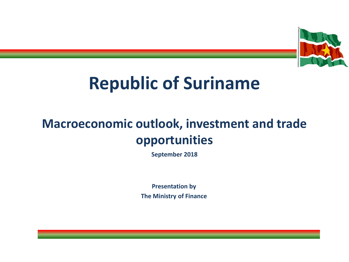

### **Republic of Suriname**

### **Macroeconomic outlook, investment and trade opportunities**

**September 2018**

**Presentation by The Ministry of Finance**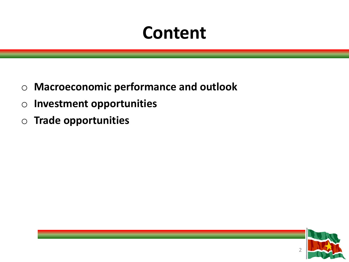### **Content**

- o **Macroeconomic performance and outlook**
- o **Investment opportunities**
- o **Trade opportunities**

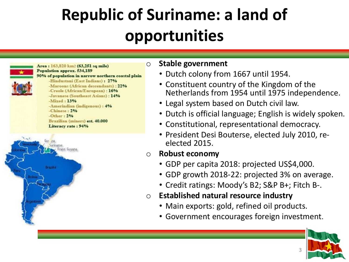## **Republic of Suriname: a land of opportunities**



Area: 163,820 km2 (63,251 sq mile) Population approx. 534,189 90% of population in narrow northern coastal plain -Hindustani (East Indians): 27% -Maroons (African descendants) : 22% -Creole (African/European) : 16% -Javanese (Southeast Asians) : 14%  $-Mixed:13%$ -Amerindian (indigenous): 4% -Chinese: 2%  $-Other: 2%$ Brazilian (miners) est. 40.000 Literacy rate: 94%



#### o **Stable government**

- Dutch colony from 1667 until 1954.
- Constituent country of the Kingdom of the Netherlands from 1954 until 1975 independence.
- Legal system based on Dutch civil law.
- Dutch is official language; English is widely spoken.
- Constitutional, representational democracy.
- President Desi Bouterse, elected July 2010, reelected 2015.

#### o **Robust economy**

- GDP per capita 2018: projected US\$4,000.
- GDP growth 2018-22: projected 3% on average.
- Credit ratings: Moody's B2; S&P B+; Fitch B-.
- o **Established natural resource industry**
	- Main exports: gold, refined oil products.
	- Government encourages foreign investment.

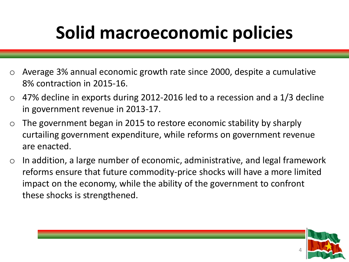## **Solid macroeconomic policies**

- o Average 3% annual economic growth rate since 2000, despite a cumulative 8% contraction in 2015-16.
- $\circ$  47% decline in exports during 2012-2016 led to a recession and a 1/3 decline in government revenue in 2013-17.
- $\circ$  The government began in 2015 to restore economic stability by sharply curtailing government expenditure, while reforms on government revenue are enacted.
- $\circ$  In addition, a large number of economic, administrative, and legal framework reforms ensure that future commodity-price shocks will have a more limited impact on the economy, while the ability of the government to confront these shocks is strengthened.

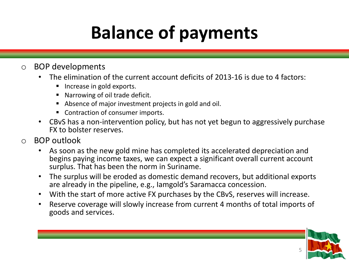# **Balance of payments**

#### o BOP developments

- The elimination of the current account deficits of 2013-16 is due to 4 factors:
	- **Increase in gold exports.**
	- Narrowing of oil trade deficit.
	- Absence of major investment projects in gold and oil.
	- Contraction of consumer imports.
- CBvS has a non-intervention policy, but has not yet begun to aggressively purchase FX to bolster reserves.
- o BOP outlook
	- As soon as the new gold mine has completed its accelerated depreciation and begins paying income taxes, we can expect a significant overall current account surplus. That has been the norm in Suriname.
	- The surplus will be eroded as domestic demand recovers, but additional exports are already in the pipeline, e.g., Iamgold's Saramacca concession.
	- With the start of more active FX purchases by the CBvS, reserves will increase.
	- Reserve coverage will slowly increase from current 4 months of total imports of goods and services.

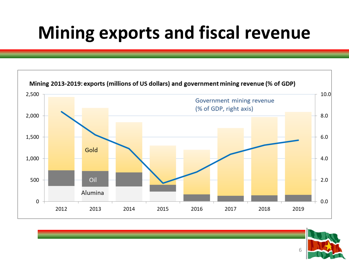## **Mining exports and fiscal revenue**



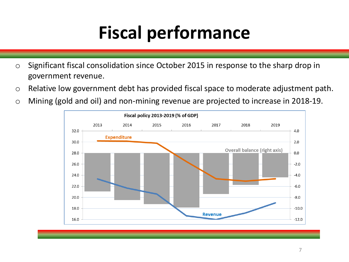# **Fiscal performance**

- o Significant fiscal consolidation since October 2015 in response to the sharp drop in government revenue.
- o Relative low government debt has provided fiscal space to moderate adjustment path.
- o Mining (gold and oil) and non-mining revenue are projected to increase in 2018-19.

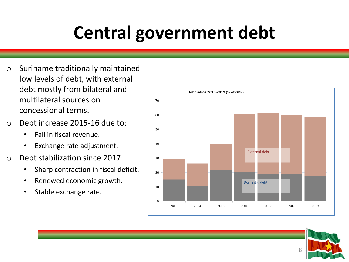# **Central government debt**

- o Suriname traditionally maintained low levels of debt, with external debt mostly from bilateral and multilateral sources on concessional terms.
- o Debt increase 2015-16 due to:
	- Fall in fiscal revenue.
	- Exchange rate adjustment.
- o Debt stabilization since 2017:
	- Sharp contraction in fiscal deficit.
	- Renewed economic growth.
	- Stable exchange rate.



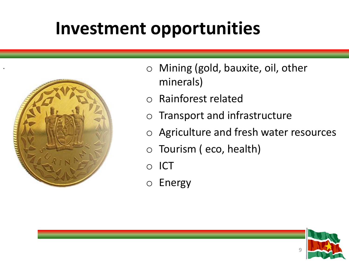### **Investment opportunities**



.

- o Mining (gold, bauxite, oil, other minerals)
- o Rainforest related
- o Transport and infrastructure
- o Agriculture and fresh water resources
- o Tourism ( eco, health)
- o ICT
- o Energy

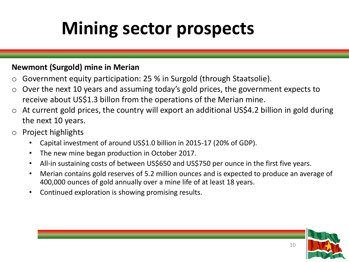## **Mining sector prospects**

#### **Newmont (Surgold) mine in Merian**

- o Government equity participation: 25 % in Surgold (through Staatsolie).
- $\circ$  Over the next 10 years and assuming today's gold prices, the government expects to receive about US\$1.3 billon from the operations of the Merian mine.
- $\circ$  At current gold prices, the country will export an additional US\$4.2 billion in gold during the next 10 years.
- o Project highlights
	- Capital investment of around US\$1.0 billion in 2015-17 (20% of GDP).
	- The new mine began production in October 2017.
	- All-in sustaining costs of between US\$650 and US\$750 per ounce in the first five years.
	- Merian contains gold reserves of 5.2 million ounces and is expected to produce an average of 400,000 ounces of gold annually over a mine life of at least 18 years.
	- Continued exploration is showing promising results.

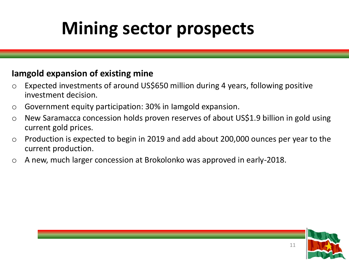## **Mining sector prospects**

#### **Iamgold expansion of existing mine**

- o Expected investments of around US\$650 million during 4 years, following positive investment decision.
- o Government equity participation: 30% in Iamgold expansion.
- o New Saramacca concession holds proven reserves of about US\$1.9 billion in gold using current gold prices.
- o Production is expected to begin in 2019 and add about 200,000 ounces per year to the current production.
- o A new, much larger concession at Brokolonko was approved in early-2018.

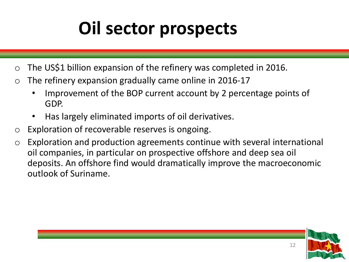## **Oil sector prospects**

- $\circ$  The US\$1 billion expansion of the refinery was completed in 2016.
- $\circ$  The refinery expansion gradually came online in 2016-17
	- Improvement of the BOP current account by 2 percentage points of GDP.
	- Has largely eliminated imports of oil derivatives.
- o Exploration of recoverable reserves is ongoing.
- o Exploration and production agreements continue with several international oil companies, in particular on prospective offshore and deep sea oil deposits. An offshore find would dramatically improve the macroeconomic outlook of Suriname.

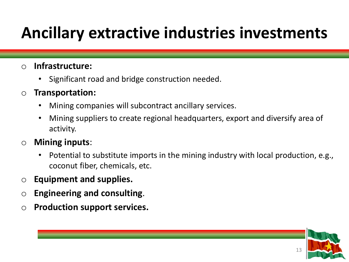### **Ancillary extractive industries investments**

#### o **Infrastructure:**

• Significant road and bridge construction needed.

#### o **Transportation:**

- Mining companies will subcontract ancillary services.
- Mining suppliers to create regional headquarters, export and diversify area of activity.

#### o **Mining inputs**:

- Potential to substitute imports in the mining industry with local production, e.g., coconut fiber, chemicals, etc.
- o **Equipment and supplies.**
- o **Engineering and consulting**.
- o **Production support services.**

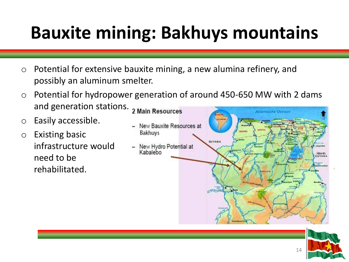# **Bauxite mining: Bakhuys mountains**

- $\circ$  Potential for extensive bauxite mining, a new alumina refinery, and possibly an aluminum smelter.
- o Potential for hydropower generation of around 450-650 MW with 2 dams and generation stations. 2 Main Resources
- o Easily accessible.
- o Existing basic infrastructure would need to be rehabilitated.



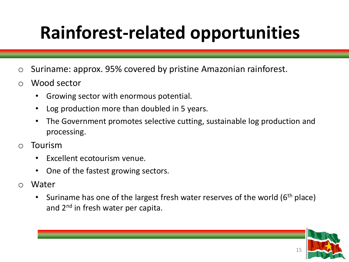# **Rainforest-related opportunities**

- o Suriname: approx. 95% covered by pristine Amazonian rainforest.
- o Wood sector
	- Growing sector with enormous potential.
	- Log production more than doubled in 5 years.
	- The Government promotes selective cutting, sustainable log production and processing.
- o Tourism
	- Excellent ecotourism venue.
	- One of the fastest growing sectors.
- o Water
	- Suriname has one of the largest fresh water reserves of the world ( $6<sup>th</sup>$  place) and 2<sup>nd</sup> in fresh water per capita.

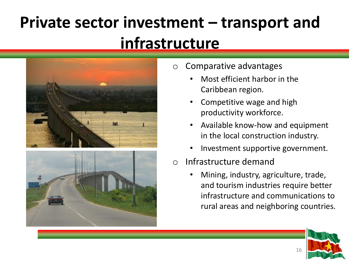### **Private sector investment – transport and infrastructure**





- o Comparative advantages
	- Most efficient harbor in the Caribbean region.
	- Competitive wage and high productivity workforce.
	- Available know-how and equipment in the local construction industry.
	- Investment supportive government.
- o Infrastructure demand
	- Mining, industry, agriculture, trade, and tourism industries require better infrastructure and communications to rural areas and neighboring countries.

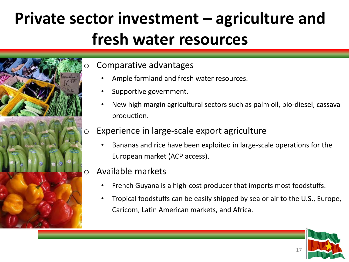### **Private sector investment – agriculture and fresh water resources**



#### Comparative advantages

- Ample farmland and fresh water resources.
- Supportive government.
- New high margin agricultural sectors such as palm oil, bio-diesel, cassava production.

#### o Experience in large-scale export agriculture

• Bananas and rice have been exploited in large-scale operations for the European market (ACP access).

#### Available markets

- French Guyana is a high-cost producer that imports most foodstuffs.
- Tropical foodstuffs can be easily shipped by sea or air to the U.S., Europe, Caricom, Latin American markets, and Africa.

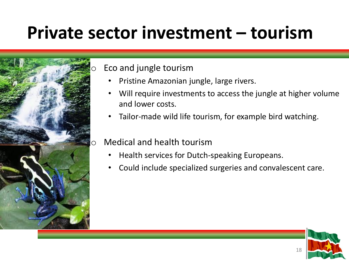## **Private sector investment – tourism**



Eco and jungle tourism

- Pristine Amazonian jungle, large rivers.
- Will require investments to access the jungle at higher volume and lower costs.
- Tailor-made wild life tourism, for example bird watching.
- o Medical and health tourism
	- Health services for Dutch-speaking Europeans.
	- Could include specialized surgeries and convalescent care.

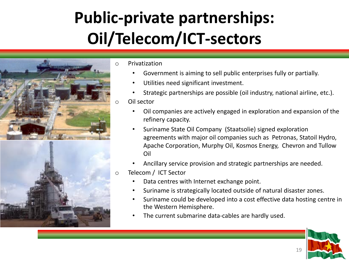### **Public-private partnerships: Oil/Telecom/ICT-sectors**



- o Privatization
	- Government is aiming to sell public enterprises fully or partially.
	- Utilities need significant investment.
	- Strategic partnerships are possible (oil industry, national airline, etc.).
	- Oil sector
		- Oil companies are actively engaged in exploration and expansion of the refinery capacity.
		- Suriname State Oil Company (Staatsolie) signed exploration agreements with major oil companies such as Petronas, Statoil Hydro, Apache Corporation, Murphy Oil, Kosmos Energy, Chevron and Tullow Oil
		- Ancillary service provision and strategic partnerships are needed.
- o Telecom / ICT Sector
	- Data centres with Internet exchange point.
	- Suriname is strategically located outside of natural disaster zones.
	- Suriname could be developed into a cost effective data hosting centre in the Western Hemisphere.
	- The current submarine data-cables are hardly used.

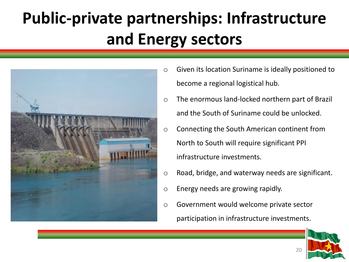## **Public-private partnerships: Infrastructure and Energy sectors**



- o Given its location Suriname is ideally positioned to become a regional logistical hub.
- o The enormous land-locked northern part of Brazil and the South of Suriname could be unlocked.
- o Connecting the South American continent from North to South will require significant PPI infrastructure investments.
- o Road, bridge, and waterway needs are significant.
- o Energy needs are growing rapidly.
- o Government would welcome private sector participation in infrastructure investments.